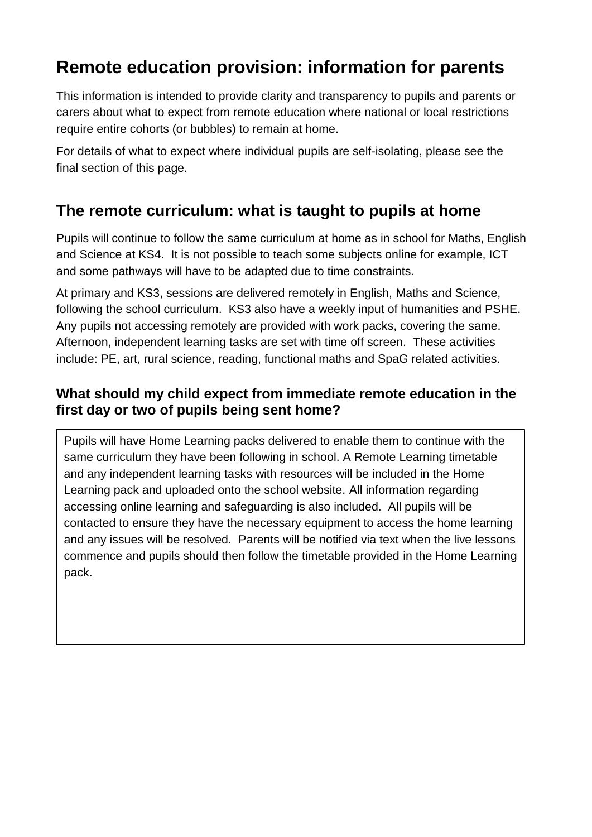# **Remote education provision: information for parents**

This information is intended to provide clarity and transparency to pupils and parents or carers about what to expect from remote education where national or local restrictions require entire cohorts (or bubbles) to remain at home.

For details of what to expect where individual pupils are self-isolating, please see the final section of this page.

## **The remote curriculum: what is taught to pupils at home**

Pupils will continue to follow the same curriculum at home as in school for Maths, English and Science at KS4. It is not possible to teach some subjects online for example, ICT and some pathways will have to be adapted due to time constraints.

At primary and KS3, sessions are delivered remotely in English, Maths and Science, following the school curriculum. KS3 also have a weekly input of humanities and PSHE. Any pupils not accessing remotely are provided with work packs, covering the same. Afternoon, independent learning tasks are set with time off screen. These activities include: PE, art, rural science, reading, functional maths and SpaG related activities.

#### **What should my child expect from immediate remote education in the first day or two of pupils being sent home?**

Pupils will have Home Learning packs delivered to enable them to continue with the same curriculum they have been following in school. A Remote Learning timetable and any independent learning tasks with resources will be included in the Home Learning pack and uploaded onto the school website. All information regarding accessing online learning and safeguarding is also included. All pupils will be contacted to ensure they have the necessary equipment to access the home learning and any issues will be resolved. Parents will be notified via text when the live lessons commence and pupils should then follow the timetable provided in the Home Learning pack.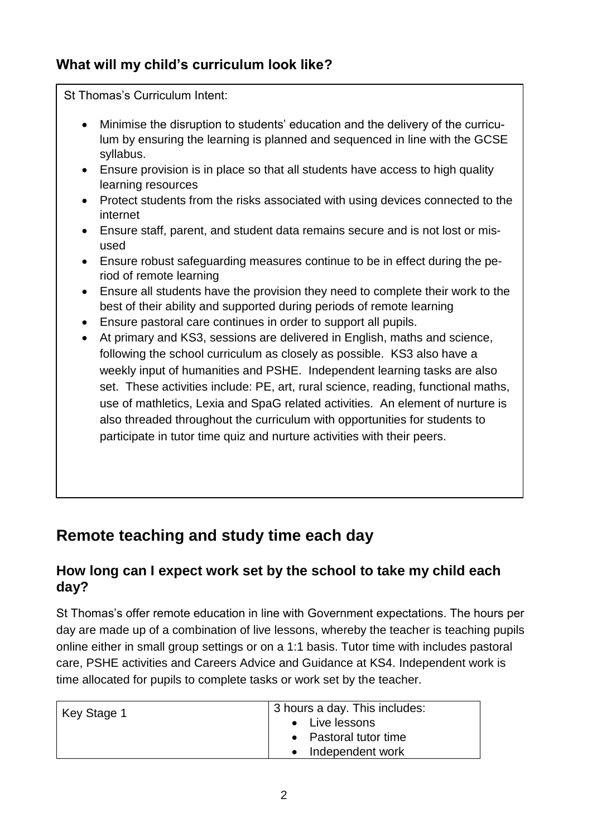#### **What will my child's curriculum look like?**

St Thomas's Curriculum Intent:

- Minimise the disruption to students' education and the delivery of the curriculum by ensuring the learning is planned and sequenced in line with the GCSE syllabus.
- Ensure provision is in place so that all students have access to high quality learning resources
- Protect students from the risks associated with using devices connected to the internet
- Ensure staff, parent, and student data remains secure and is not lost or misused
- Ensure robust safeguarding measures continue to be in effect during the period of remote learning
- Ensure all students have the provision they need to complete their work to the best of their ability and supported during periods of remote learning
- Ensure pastoral care continues in order to support all pupils.
- At primary and KS3, sessions are delivered in English, maths and science, following the school curriculum as closely as possible. KS3 also have a weekly input of humanities and PSHE. Independent learning tasks are also set. These activities include: PE, art, rural science, reading, functional maths, use of mathletics, Lexia and SpaG related activities. An element of nurture is also threaded throughout the curriculum with opportunities for students to participate in tutor time quiz and nurture activities with their peers.

## **Remote teaching and study time each day**

#### **How long can I expect work set by the school to take my child each day?**

St Thomas's offer remote education in line with Government expectations. The hours per day are made up of a combination of live lessons, whereby the teacher is teaching pupils online either in small group settings or on a 1:1 basis. Tutor time with includes pastoral care, PSHE activities and Careers Advice and Guidance at KS4. Independent work is time allocated for pupils to complete tasks or work set by the teacher.

| Key Stage 1 | 3 hours a day. This includes:<br>• Live lessons<br>• Pastoral tutor time<br>• Independent work |
|-------------|------------------------------------------------------------------------------------------------|
|-------------|------------------------------------------------------------------------------------------------|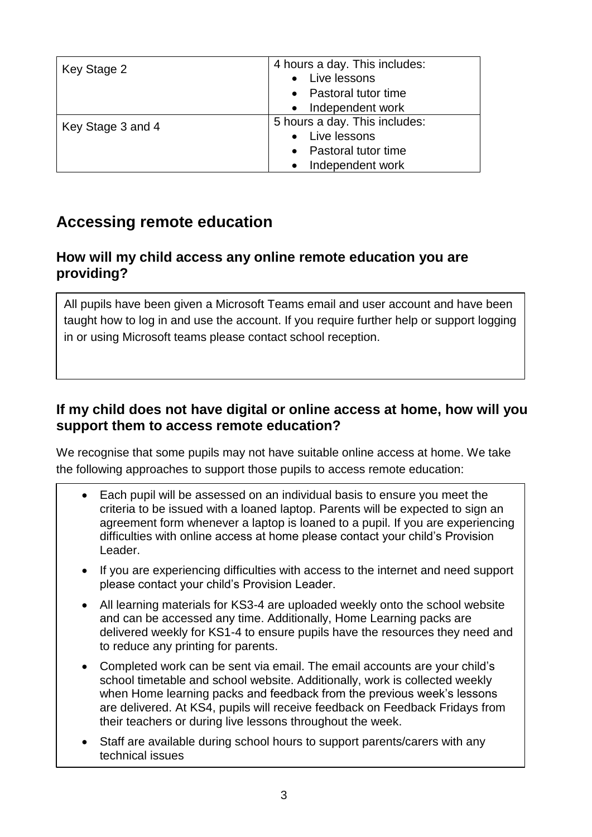| Key Stage 2       | 4 hours a day. This includes:    |
|-------------------|----------------------------------|
|                   | Live lessons                     |
|                   | Pastoral tutor time<br>$\bullet$ |
|                   | Independent work<br>$\bullet$    |
| Key Stage 3 and 4 | 5 hours a day. This includes:    |
|                   | Live lessons<br>$\bullet$        |
|                   | Pastoral tutor time<br>$\bullet$ |
|                   | Independent work<br>$\bullet$    |

## **Accessing remote education**

#### **How will my child access any online remote education you are providing?**

All pupils have been given a Microsoft Teams email and user account and have been taught how to log in and use the account. If you require further help or support logging in or using Microsoft teams please contact school reception.

#### **If my child does not have digital or online access at home, how will you support them to access remote education?**

We recognise that some pupils may not have suitable online access at home. We take the following approaches to support those pupils to access remote education:

- Each pupil will be assessed on an individual basis to ensure you meet the criteria to be issued with a loaned laptop. Parents will be expected to sign an agreement form whenever a laptop is loaned to a pupil. If you are experiencing difficulties with online access at home please contact your child's Provision Leader.
- If you are experiencing difficulties with access to the internet and need support please contact your child's Provision Leader.
- All learning materials for KS3-4 are uploaded weekly onto the school website and can be accessed any time. Additionally, Home Learning packs are delivered weekly for KS1-4 to ensure pupils have the resources they need and to reduce any printing for parents.
- Completed work can be sent via email. The email accounts are your child's school timetable and school website. Additionally, work is collected weekly when Home learning packs and feedback from the previous week's lessons are delivered. At KS4, pupils will receive feedback on Feedback Fridays from their teachers or during live lessons throughout the week.
- Staff are available during school hours to support parents/carers with any technical issues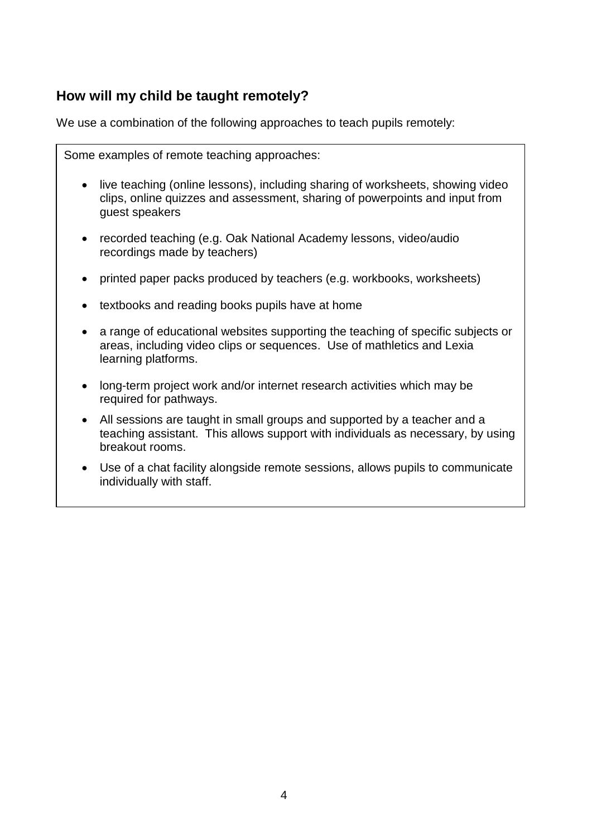#### **How will my child be taught remotely?**

We use a combination of the following approaches to teach pupils remotely:

Some examples of remote teaching approaches: • live teaching (online lessons), including sharing of worksheets, showing video clips, online quizzes and assessment, sharing of powerpoints and input from guest speakers • recorded teaching (e.g. Oak National Academy lessons, video/audio recordings made by teachers) • printed paper packs produced by teachers (e.g. workbooks, worksheets) • textbooks and reading books pupils have at home • a range of educational websites supporting the teaching of specific subjects or areas, including video clips or sequences. Use of mathletics and Lexia learning platforms. • long-term project work and/or internet research activities which may be required for pathways. • All sessions are taught in small groups and supported by a teacher and a teaching assistant. This allows support with individuals as necessary, by using breakout rooms. • Use of a chat facility alongside remote sessions, allows pupils to communicate individually with staff.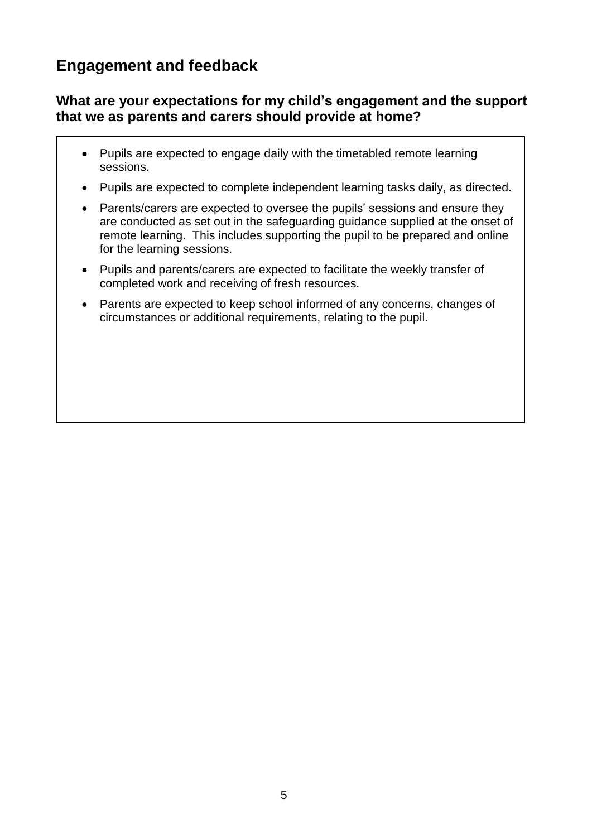## **Engagement and feedback**

#### **What are your expectations for my child's engagement and the support that we as parents and carers should provide at home?**

- Pupils are expected to engage daily with the timetabled remote learning sessions.
- Pupils are expected to complete independent learning tasks daily, as directed.
- Parents/carers are expected to oversee the pupils' sessions and ensure they are conducted as set out in the safeguarding guidance supplied at the onset of remote learning. This includes supporting the pupil to be prepared and online for the learning sessions.
- Pupils and parents/carers are expected to facilitate the weekly transfer of completed work and receiving of fresh resources.
- Parents are expected to keep school informed of any concerns, changes of circumstances or additional requirements, relating to the pupil.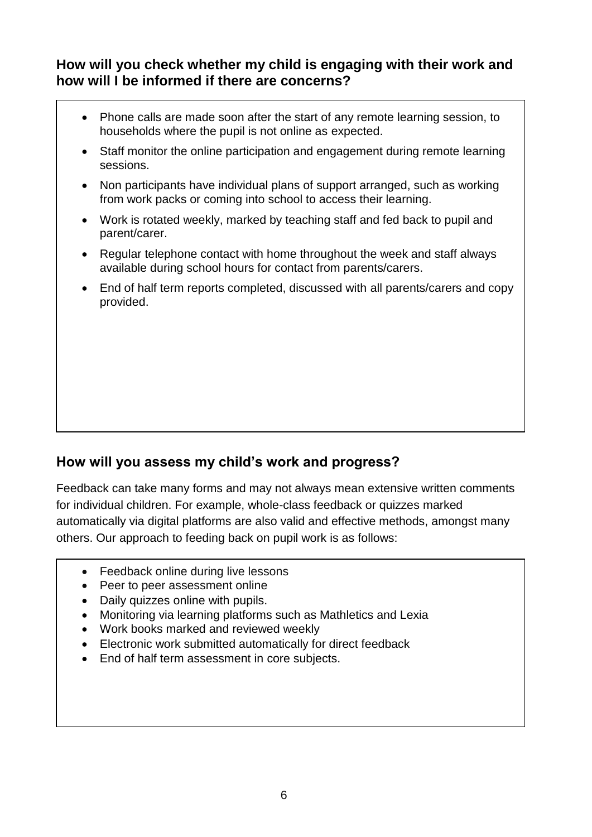#### **How will you check whether my child is engaging with their work and how will I be informed if there are concerns?**

- Phone calls are made soon after the start of any remote learning session, to households where the pupil is not online as expected.
- Staff monitor the online participation and engagement during remote learning sessions.
- Non participants have individual plans of support arranged, such as working from work packs or coming into school to access their learning.
- Work is rotated weekly, marked by teaching staff and fed back to pupil and parent/carer.
- Regular telephone contact with home throughout the week and staff always available during school hours for contact from parents/carers.
- End of half term reports completed, discussed with all parents/carers and copy provided.

#### **How will you assess my child's work and progress?**

Feedback can take many forms and may not always mean extensive written comments for individual children. For example, whole-class feedback or quizzes marked automatically via digital platforms are also valid and effective methods, amongst many others. Our approach to feeding back on pupil work is as follows:

- Feedback online during live lessons
- Peer to peer assessment online
- Daily quizzes online with pupils.
- Monitoring via learning platforms such as Mathletics and Lexia
- Work books marked and reviewed weekly
- Electronic work submitted automatically for direct feedback
- End of half term assessment in core subjects.